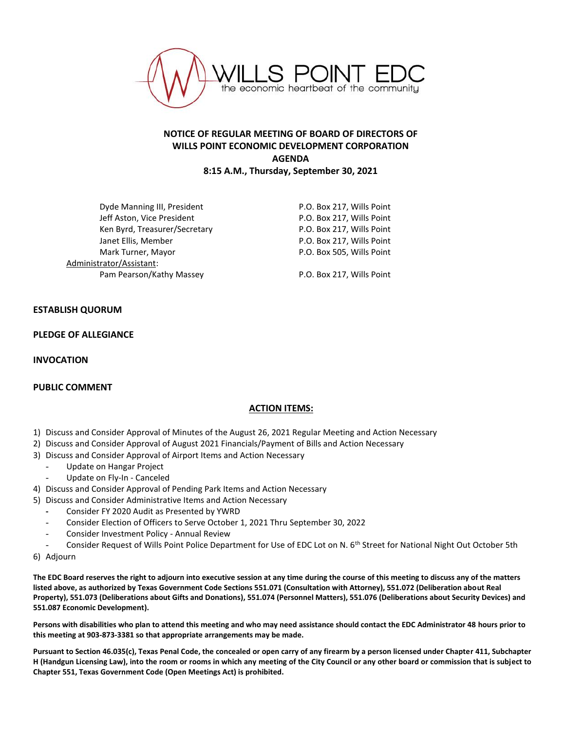

## **NOTICE OF REGULAR MEETING OF BOARD OF DIRECTORS OF WILLS POINT ECONOMIC DEVELOPMENT CORPORATION AGENDA 8:15 A.M., Thursday, September 30, 2021**

Dyde Manning III, President **P.O. Box 217, Wills Point** Jeff Aston, Vice President **P.O. Box 217, Wills Point** Ken Byrd, Treasurer/Secretary The Manuscreen P.O. Box 217, Wills Point Janet Ellis, Member **New York Constructs** P.O. Box 217, Wills Point Mark Turner, Mayor **P.O. Box 505, Wills Point** Administrator/Assistant: Pam Pearson/Kathy Massey P.O. Box 217, Wills Point

## **ESTABLISH QUORUM**

**PLEDGE OF ALLEGIANCE**

**INVOCATION**

## **PUBLIC COMMENT**

## **ACTION ITEMS:**

- 1) Discuss and Consider Approval of Minutes of the August 26, 2021 Regular Meeting and Action Necessary
- 2) Discuss and Consider Approval of August 2021 Financials/Payment of Bills and Action Necessary
- 3) Discuss and Consider Approval of Airport Items and Action Necessary
	- Update on Hangar Project
	- Update on Fly-In Canceled
- 4) Discuss and Consider Approval of Pending Park Items and Action Necessary
- 5) Discuss and Consider Administrative Items and Action Necessary
	- **-** Consider FY 2020 Audit as Presented by YWRD
	- Consider Election of Officers to Serve October 1, 2021 Thru September 30, 2022
	- Consider Investment Policy Annual Review
	- Consider Request of Wills Point Police Department for Use of EDC Lot on N. 6<sup>th</sup> Street for National Night Out October 5th
- 6) Adjourn

**The EDC Board reserves the right to adjourn into executive session at any time during the course of this meeting to discuss any of the matters listed above, as authorized by Texas Government Code Sections 551.071 (Consultation with Attorney), 551.072 (Deliberation about Real Property), 551.073 (Deliberations about Gifts and Donations), 551.074 (Personnel Matters), 551.076 (Deliberations about Security Devices) and 551.087 Economic Development).**

**Persons with disabilities who plan to attend this meeting and who may need assistance should contact the EDC Administrator 48 hours prior to this meeting at 903-873-3381 so that appropriate arrangements may be made.**

**Pursuant to Section 46.035(c), Texas Penal Code, the concealed or open carry of any firearm by a person licensed under Chapter 411, Subchapter H (Handgun Licensing Law), into the room or rooms in which any meeting of the City Council or any other board or commission that is subject to Chapter 551, Texas Government Code (Open Meetings Act) is prohibited.**